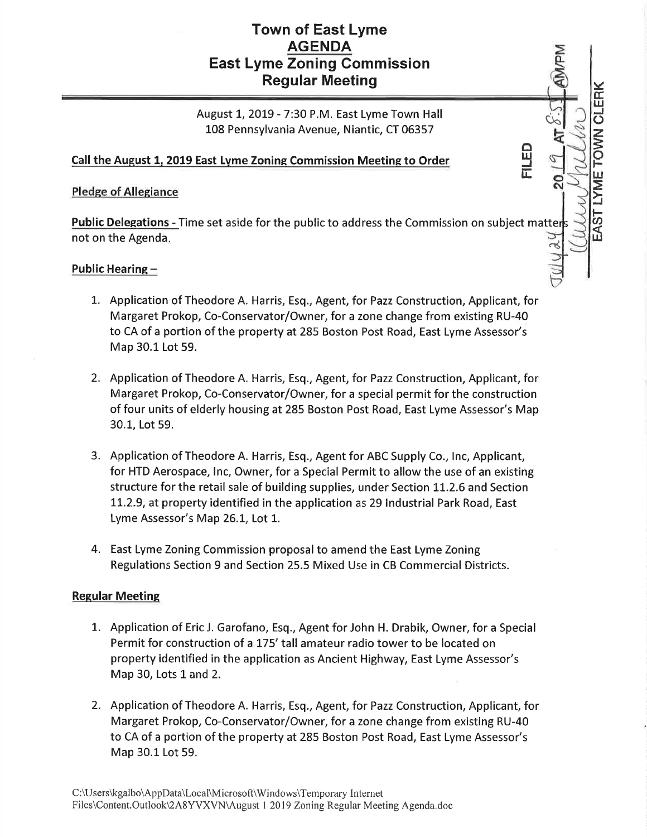## Town of East Lyme **AGENDA** East Lyme Zoning Commission Regular Meeting

August 1, 2019 - 7:30 P.M. East Lyme Town Hall 108 Pennsylvania Avenue, Niantic, CT 06357

v(r trl J  $\vec{\circ}$ z **PONI**  $\breve{\vdash}$ UJ  $\mathsf{I}$ F a

 $\dot{\mathcal{C}}$ 

o ш<br>= lJ.

IJJ

### Call the August 1, 2019 East Lyme Zoning Commission Meeting to Order

#### Pledge of Allegiance

Public Delegations - Time set aside for the public to address the Commission on subject matter not on the Agenda  $\frac{1}{2}$ 

#### Public Hearing -

- 1. Application of Theodore A. Harris, Esq., Agent, for Pazz Construction, Applicant, for Margaret Prokop, Co-Conservator/Owner, for a zone change from existing RU-40 to CA of a portion of the property at 285 Boston Post Road, East Lyme Assessor's Map 30.1 Lot 59.
- 2. Application of Theodore A. Harris, Esq., Agent, for Pazz Construction, Applicant, for Margaret Prokop, Co-Conservator/Owner, for a special permit for the construction of four units of elderly housing at 285 Boston Post Road, East Lyme Assessor's Map 30.1, Lot 59.
- 3. Application of Theodore A. Harris, Esq., Agent for ABC Supply Co., lnc, Applicant, for HTD Aerospace, lnc, Owner, for a Special Permit to allow the use of an existing structure for the retail sale of building supplies, under Section LL.2.6 and Section L1.2.9, at property identified in the application as 29 lndustrial Park Road, East Lyme Assessor's Map 26.1, Lot 1.
- 4. East Lyme Zoning Commission proposal to amend the East Lyme Zoning Regulations Section 9 and Section 25.5 Mixed Use in CB Commercial Districts.

#### **Regular Meeting**

- 1. Application of Eric J. Garofano, EsQ., Agent for John H. Drabik, Owner, for a Special Permit for construction of a L75' tall amateur radio tower to be located on property identified in the application as Ancient Highway, East Lyme Assessor's Map 30, Lots 1 and 2.
- 2. Application of Theodore A. Harris, Esq., Agent, for Pazz Construction, Applicant, for Margaret Prokop, Co-Conservator/Owner, for a zone change from existing RU-40 to CA of a portion of the property at 285 Boston Post Road, East Lyme Assessor's Map 30.1 Lot 59.